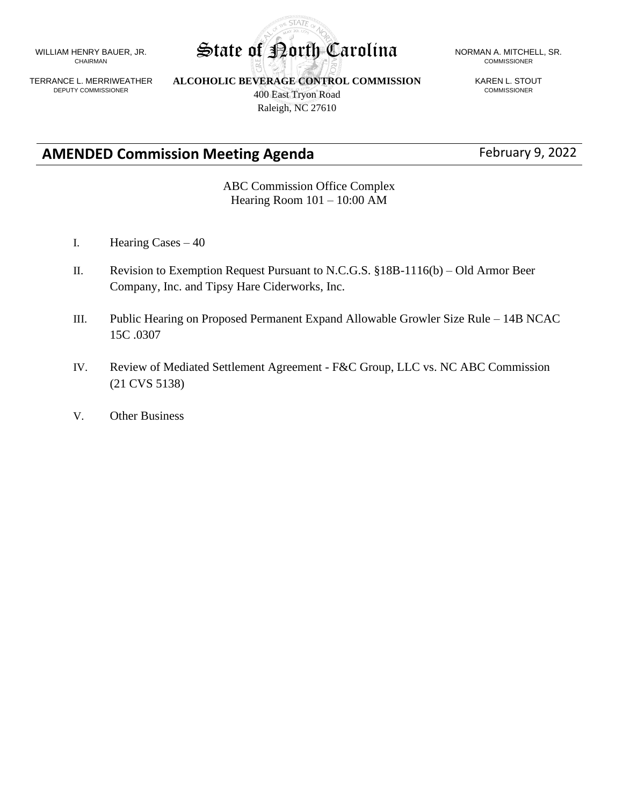WILLIAM HENRY BAUER, JR. CHAIRMAN

TERRANCE L. MERRIWEATHER DEPUTY COMMISSIONER

**ALCOHOLIC BEVERAGE CONTROL COMMISSION** 400 East Tryon Road Raleigh, NC 27610

# **AMENDED Commission Meeting Agenda** February 9, 2022

COMMISSIONER

KAREN L. STOUT COMMISSIONER

ABC Commission Office Complex Hearing Room 101 – 10:00 AM

- I. Hearing Cases 40
- II. Revision to Exemption Request Pursuant to N.C.G.S. §18B-1116(b) Old Armor Beer Company, Inc. and Tipsy Hare Ciderworks, Inc.
- III. Public Hearing on Proposed Permanent Expand Allowable Growler Size Rule 14B NCAC 15C .0307
- IV. Review of Mediated Settlement Agreement F&C Group, LLC vs. NC ABC Commission (21 CVS 5138)
- V. Other Business

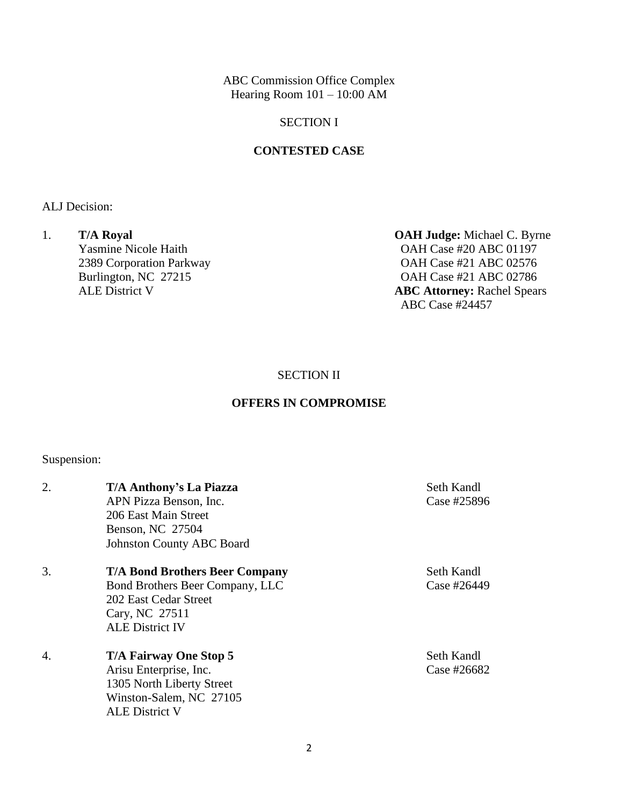ABC Commission Office Complex Hearing Room  $101 - 10:00$  AM

### SECTION I

#### **CONTESTED CASE**

ALJ Decision:

1. **T/A Royal OAH Judge:** Michael C. Byrne<br>
Yasmine Nicole Haith **OAH Case #20 ABC 01197** 

OAH Case #20 ABC 01197 2389 Corporation Parkway OAH Case #21 ABC 02576 Burlington, NC 27215 OAH Case #21 ABC 02786<br>ALE District V **ABC Attorney:** Rachel Spear **ABC Attorney: Rachel Spears** ABC Case #24457

SECTION II

## **OFFERS IN COMPROMISE**

Suspension:

| 2. | T/A Anthony's La Piazza<br>APN Pizza Benson, Inc.<br>206 East Main Street<br>Benson, NC 27504<br><b>Johnston County ABC Board</b>             | Seth Kandl<br>Case #25896 |
|----|-----------------------------------------------------------------------------------------------------------------------------------------------|---------------------------|
| 3. | <b>T/A Bond Brothers Beer Company</b><br>Bond Brothers Beer Company, LLC<br>202 East Cedar Street<br>Cary, NC 27511<br><b>ALE District IV</b> | Seth Kandl<br>Case #26449 |
| 4. | <b>T/A Fairway One Stop 5</b><br>Arisu Enterprise, Inc.<br>1305 North Liberty Street<br>Winston-Salem, NC 27105<br><b>ALE District V</b>      | Seth Kandl<br>Case #26682 |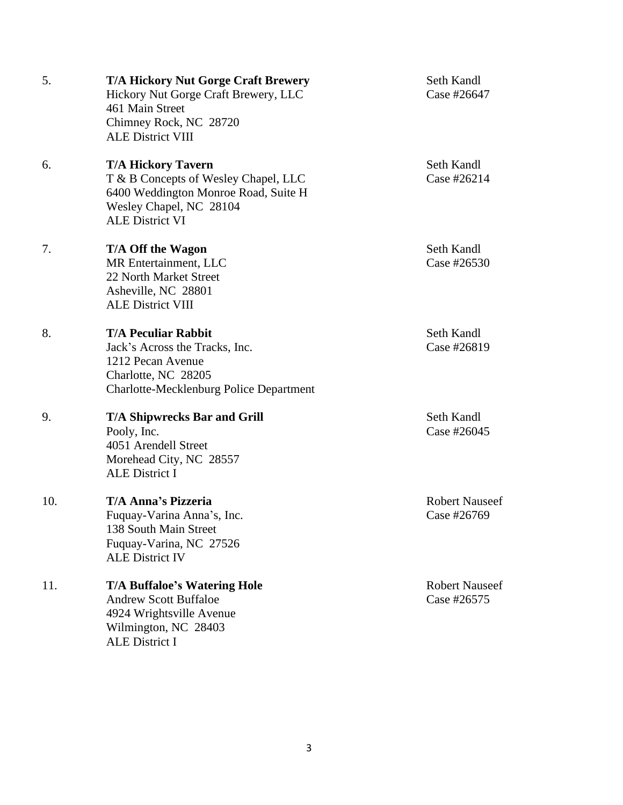| 5.  | <b>T/A Hickory Nut Gorge Craft Brewery</b><br>Hickory Nut Gorge Craft Brewery, LLC<br>461 Main Street<br>Chimney Rock, NC 28720<br><b>ALE District VIII</b>    | Seth Kandl<br>Case #26647            |
|-----|----------------------------------------------------------------------------------------------------------------------------------------------------------------|--------------------------------------|
| 6.  | <b>T/A Hickory Tavern</b><br>T & B Concepts of Wesley Chapel, LLC<br>6400 Weddington Monroe Road, Suite H<br>Wesley Chapel, NC 28104<br><b>ALE District VI</b> | Seth Kandl<br>Case #26214            |
| 7.  | T/A Off the Wagon<br>MR Entertainment, LLC<br>22 North Market Street<br>Asheville, NC 28801<br><b>ALE District VIII</b>                                        | Seth Kandl<br>Case #26530            |
| 8.  | <b>T/A Peculiar Rabbit</b><br>Jack's Across the Tracks, Inc.<br>1212 Pecan Avenue<br>Charlotte, NC 28205<br>Charlotte-Mecklenburg Police Department            | Seth Kandl<br>Case #26819            |
| 9.  | <b>T/A Shipwrecks Bar and Grill</b><br>Pooly, Inc.<br>4051 Arendell Street<br>Morehead City, NC 28557<br><b>ALE District I</b>                                 | Seth Kandl<br>Case #26045            |
| 10. | <b>T/A Anna's Pizzeria</b><br>Fuquay-Varina Anna's, Inc.<br>138 South Main Street<br>Fuquay-Varina, NC 27526<br><b>ALE District IV</b>                         | <b>Robert Nauseef</b><br>Case #26769 |
| 11. | <b>T/A Buffaloe's Watering Hole</b><br><b>Andrew Scott Buffaloe</b><br>4924 Wrightsville Avenue<br>Wilmington, NC 28403<br>ALE District I                      | <b>Robert Nauseef</b><br>Case #26575 |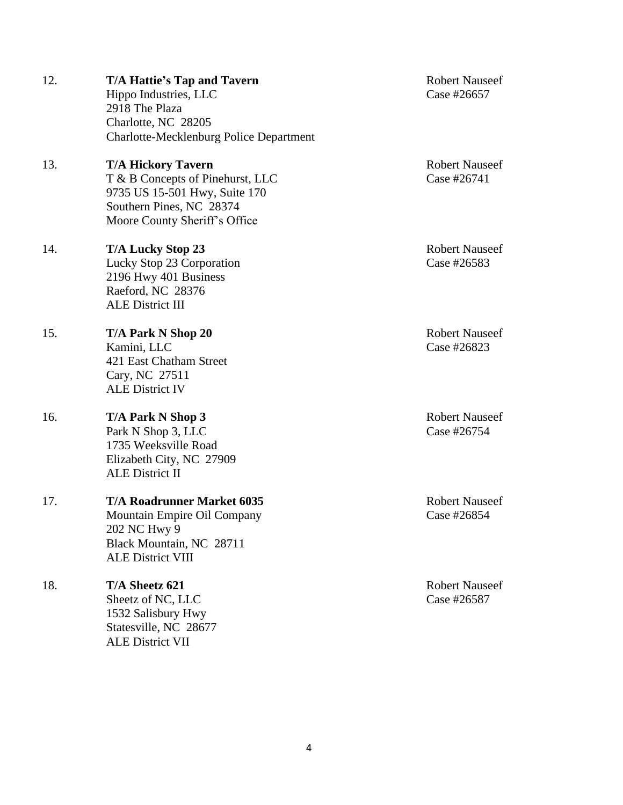| 12. | T/A Hattie's Tap and Tavern<br>Hippo Industries, LLC<br>2918 The Plaza<br>Charlotte, NC 28205<br><b>Charlotte-Mecklenburg Police Department</b>             | <b>Robert Nauseef</b><br>Case #26657 |
|-----|-------------------------------------------------------------------------------------------------------------------------------------------------------------|--------------------------------------|
| 13. | <b>T/A Hickory Tavern</b><br>T & B Concepts of Pinehurst, LLC<br>9735 US 15-501 Hwy, Suite 170<br>Southern Pines, NC 28374<br>Moore County Sheriff's Office | <b>Robert Nauseef</b><br>Case #26741 |
| 14. | <b>T/A Lucky Stop 23</b><br>Lucky Stop 23 Corporation<br>2196 Hwy 401 Business<br>Raeford, NC 28376<br><b>ALE District III</b>                              | <b>Robert Nauseef</b><br>Case #26583 |
| 15. | T/A Park N Shop 20<br>Kamini, LLC<br>421 East Chatham Street<br>Cary, NC 27511<br><b>ALE District IV</b>                                                    | <b>Robert Nauseef</b><br>Case #26823 |
| 16. | T/A Park N Shop 3<br>Park N Shop 3, LLC<br>1735 Weeksville Road<br>Elizabeth City, NC 27909<br><b>ALE District II</b>                                       | <b>Robert Nauseef</b><br>Case #26754 |
| 17. | <b>T/A Roadrunner Market 6035</b><br>Mountain Empire Oil Company<br>202 NC Hwy 9<br>Black Mountain, NC 28711<br><b>ALE District VIII</b>                    | <b>Robert Nauseef</b><br>Case #26854 |
| 18. | T/A Sheetz 621<br>Sheetz of NC, LLC<br>1532 Salisbury Hwy<br>Statesville, NC 28677<br><b>ALE District VII</b>                                               | <b>Robert Nauseef</b><br>Case #26587 |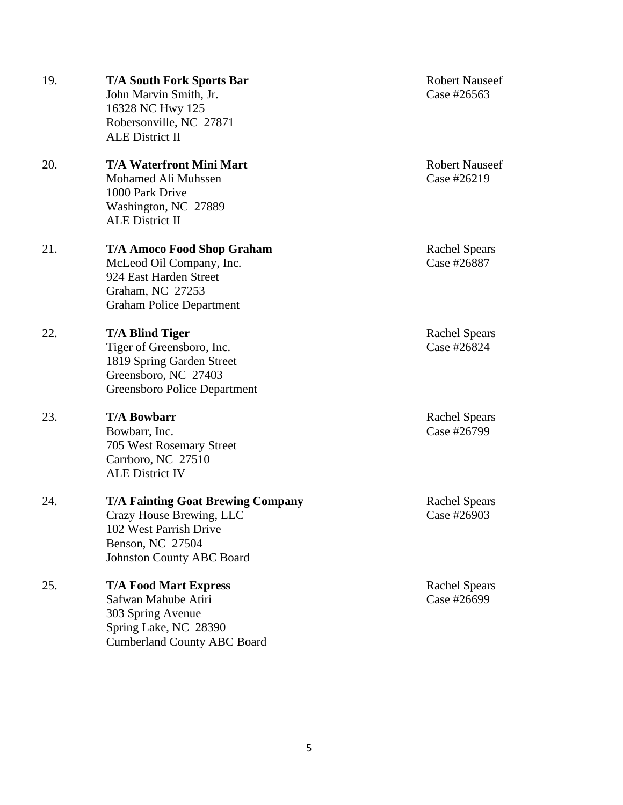| 19. | <b>T/A South Fork Sports Bar</b><br>John Marvin Smith, Jr.<br>16328 NC Hwy 125<br>Robersonville, NC 27871<br><b>ALE District II</b>                    | <b>Robert Nauseef</b><br>Case #26563 |
|-----|--------------------------------------------------------------------------------------------------------------------------------------------------------|--------------------------------------|
| 20. | <b>T/A Waterfront Mini Mart</b><br>Mohamed Ali Muhssen<br>1000 Park Drive<br>Washington, NC 27889<br><b>ALE District II</b>                            | <b>Robert Nauseef</b><br>Case #26219 |
| 21. | <b>T/A Amoco Food Shop Graham</b><br>McLeod Oil Company, Inc.<br>924 East Harden Street<br>Graham, NC 27253<br><b>Graham Police Department</b>         | <b>Rachel Spears</b><br>Case #26887  |
| 22. | <b>T/A Blind Tiger</b><br>Tiger of Greensboro, Inc.<br>1819 Spring Garden Street<br>Greensboro, NC 27403<br>Greensboro Police Department               | <b>Rachel Spears</b><br>Case #26824  |
| 23. | <b>T/A Bowbarr</b><br>Bowbarr, Inc.<br>705 West Rosemary Street<br>Carrboro, NC 27510<br><b>ALE District IV</b>                                        | <b>Rachel Spears</b><br>Case #26799  |
| 24. | <b>T/A Fainting Goat Brewing Company</b><br>Crazy House Brewing, LLC<br>102 West Parrish Drive<br>Benson, NC 27504<br><b>Johnston County ABC Board</b> | <b>Rachel Spears</b><br>Case #26903  |
| 25. | <b>T/A Food Mart Express</b><br>Safwan Mahube Atiri<br>303 Spring Avenue<br>Spring Lake, NC 28390<br><b>Cumberland County ABC Board</b>                | <b>Rachel Spears</b><br>Case #26699  |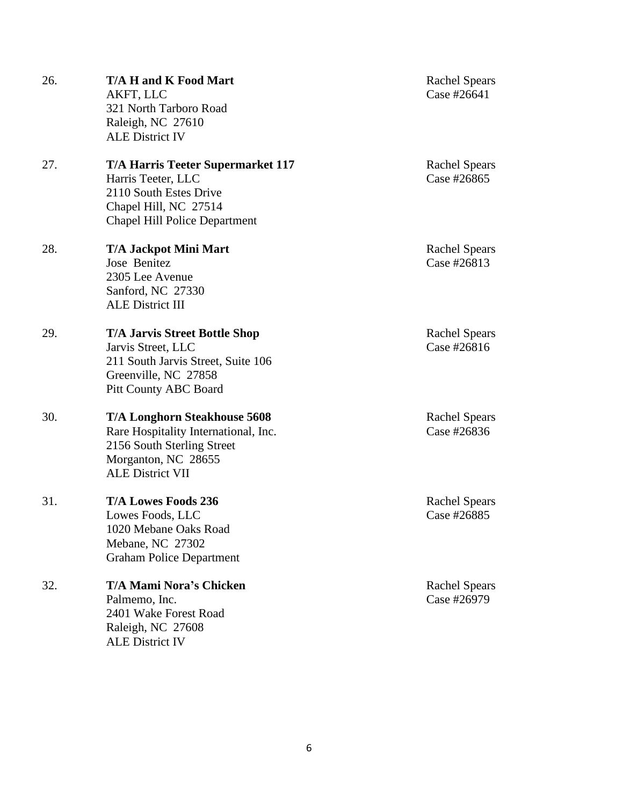26. **T/A H and K Food Mart** Rachel Spears AKFT, LLC Case #26641 321 North Tarboro Road Raleigh, NC 27610 ALE District IV 27. **T/A Harris Teeter Supermarket 117** Rachel Spears Harris Teeter, LLC Case #26865 2110 South Estes Drive Chapel Hill, NC 27514 Chapel Hill Police Department 28. **T/A Jackpot Mini Mart** Rachel Spears Jose Benitez Case #26813 2305 Lee Avenue Sanford, NC 27330 ALE District III 29. **T/A Jarvis Street Bottle Shop** Rachel Spears Jarvis Street, LLC Case #26816 211 South Jarvis Street, Suite 106 Greenville, NC 27858 Pitt County ABC Board 30. **T/A Longhorn Steakhouse 5608** Rachel Spears Rare Hospitality International, Inc. Case #26836 2156 South Sterling Street Morganton, NC 28655 ALE District VII 31. **T/A Lowes Foods 236** Rachel Spears Lowes Foods, LLC Case #26885 1020 Mebane Oaks Road Mebane, NC 27302 Graham Police Department 32. **T/A Mami Nora's Chicken** Rachel Spears Palmemo, Inc. Case #26979 2401 Wake Forest Road Raleigh, NC 27608 ALE District IV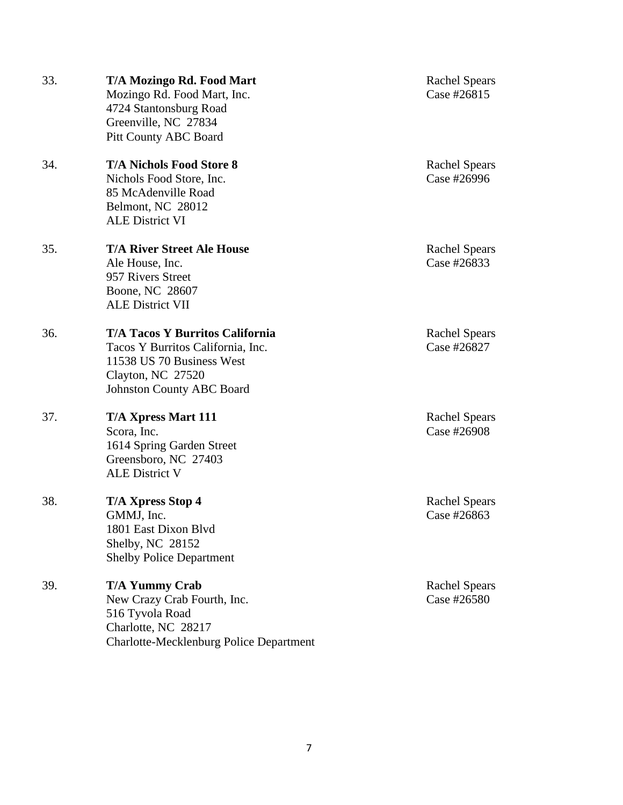| 33. | T/A Mozingo Rd. Food Mart<br>Mozingo Rd. Food Mart, Inc.<br>4724 Stantonsburg Road<br>Greenville, NC 27834<br><b>Pitt County ABC Board</b>                        | <b>Rachel Spears</b><br>Case #26815 |
|-----|-------------------------------------------------------------------------------------------------------------------------------------------------------------------|-------------------------------------|
| 34. | <b>T/A Nichols Food Store 8</b><br>Nichols Food Store, Inc.<br>85 McAdenville Road<br>Belmont, NC 28012<br><b>ALE District VI</b>                                 | <b>Rachel Spears</b><br>Case #26996 |
| 35. | <b>T/A River Street Ale House</b><br>Ale House, Inc.<br>957 Rivers Street<br>Boone, NC 28607<br><b>ALE District VII</b>                                           | <b>Rachel Spears</b><br>Case #26833 |
| 36. | <b>T/A Tacos Y Burritos California</b><br>Tacos Y Burritos California, Inc.<br>11538 US 70 Business West<br>Clayton, NC 27520<br><b>Johnston County ABC Board</b> | <b>Rachel Spears</b><br>Case #26827 |
| 37. | <b>T/A Xpress Mart 111</b><br>Scora, Inc.<br>1614 Spring Garden Street<br>Greensboro, NC 27403<br><b>ALE District V</b>                                           | <b>Rachel Spears</b><br>Case #26908 |
| 38. | <b>T/A Xpress Stop 4</b><br>GMMJ, Inc.<br>1801 East Dixon Blvd<br>Shelby, NC 28152<br><b>Shelby Police Department</b>                                             | <b>Rachel Spears</b><br>Case #26863 |
| 39. | <b>T/A Yummy Crab</b><br>New Crazy Crab Fourth, Inc.<br>516 Tyvola Road<br>Charlotte, NC 28217<br><b>Charlotte-Mecklenburg Police Department</b>                  | <b>Rachel Spears</b><br>Case #26580 |